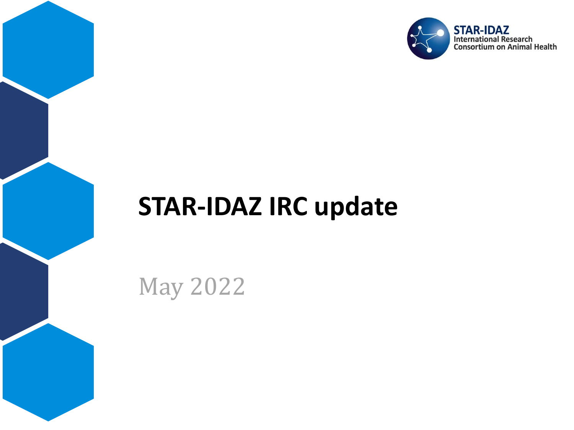

## **STAR-IDAZ IRC update**

May 2022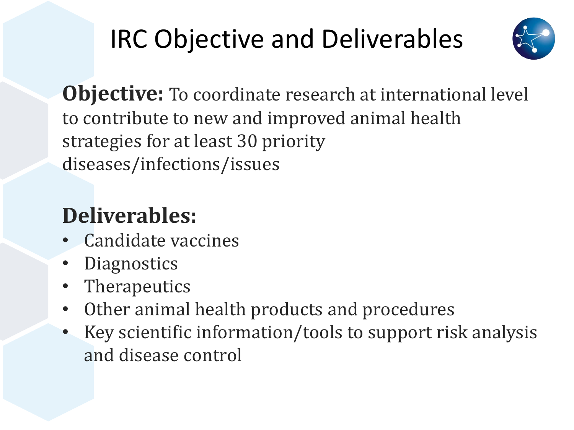# IRC Objective and Deliverables



**Objective:** To coordinate research at international level to contribute to new and improved animal health strategies for at least 30 priority diseases/infections/issues

## **Deliverables:**

- Candidate vaccines
- **Diagnostics**
- Therapeutics
- Other animal health products and procedures
- Key scientific information/tools to support risk analysis and disease control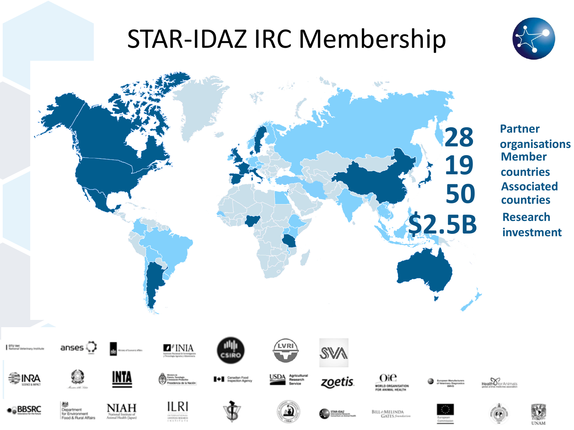## STAR-IDAZ IRC Membership



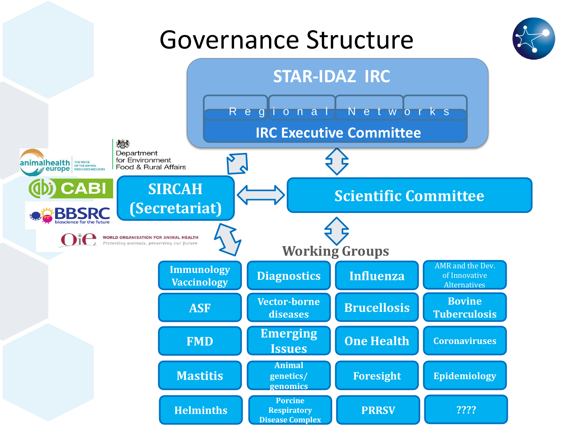## Governance Structure



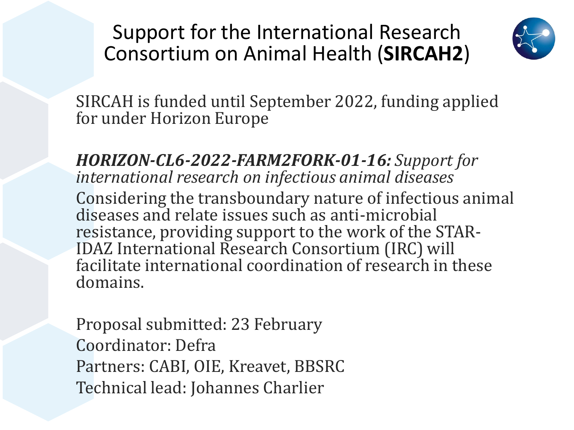### Support for the International Research Consortium on Animal Health (**SIRCAH2**)



SIRCAH is funded until September 2022, funding applied for under Horizon Europe

*HORIZON-CL6-2022-FARM2FORK-01-16: Support for international research on infectious animal diseases* Considering the transboundary nature of infectious animal diseases and relate issues such as anti-microbial resistance, providing support to the work of the STAR-IDAZ International Research Consortium (IRC) will facilitate international coordination of research in these domains.

Proposal submitted: 23 February Coordinator: Defra Partners: CABI, OIE, Kreavet, BBSRC Technical lead: Johannes Charlier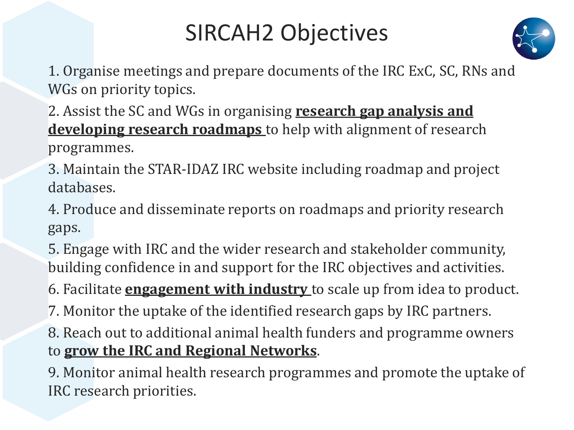## SIRCAH2 Objectives



1. Organise meetings and prepare documents of the IRC ExC, SC, RNs and WGs on priority topics.

2. Assist the SC and WGs in organising **research gap analysis and developing research roadmaps** to help with alignment of research programmes.

3. Maintain the STAR-IDAZ IRC website including roadmap and project databases.

4. Produce and disseminate reports on roadmaps and priority research gaps.

5. Engage with IRC and the wider research and stakeholder community, building confidence in and support for the IRC objectives and activities.

6. Facilitate **engagement with industry** to scale up from idea to product.

7. Monitor the uptake of the identified research gaps by IRC partners.

8. Reach out to additional animal health funders and programme owners to **grow the IRC and Regional Networks**.

9. Monitor animal health research programmes and promote the uptake of IRC research priorities.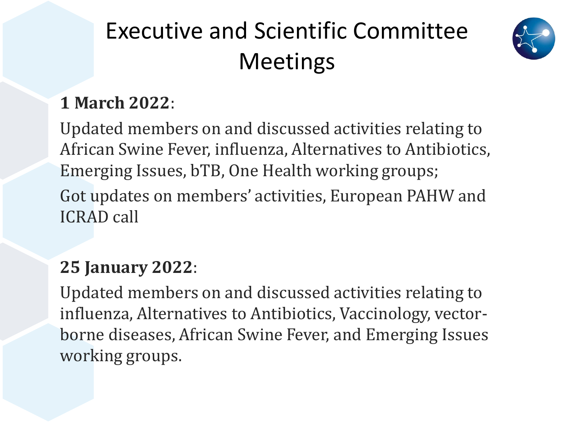## Executive and Scientific Committee Meetings



## **1 March 2022**:

Updated members on and discussed activities relating to African Swine Fever, influenza, Alternatives to Antibiotics, Emerging Issues, bTB, One Health working groups; Got updates on members' activities, European PAHW and ICRAD call

#### **25 January 2022**:

Updated members on and discussed activities relating to influenza, Alternatives to Antibiotics, Vaccinology, vectorborne diseases, African Swine Fever, and Emerging Issues working groups.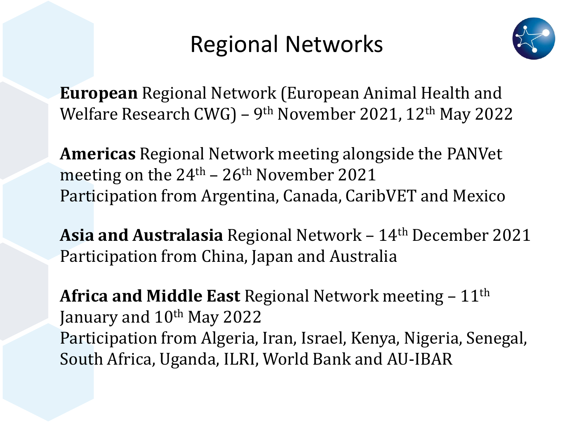## Regional Networks



**European** Regional Network (European Animal Health and Welfare Research CWG) – 9<sup>th</sup> November 2021, 12<sup>th</sup> May 2022

**Americas** Regional Network meeting alongside the PANVet meeting on the  $24<sup>th</sup> - 26<sup>th</sup>$  November 2021 Participation from Argentina, Canada, CaribVET and Mexico

**Asia and Australasia** Regional Network – 14th December 2021 Participation from China, Japan and Australia

**Africa and Middle East** Regional Network meeting – 11<sup>th</sup> January and 10<sup>th</sup> May 2022 Participation from Algeria, Iran, Israel, Kenya, Nigeria, Senegal, South Africa, Uganda, ILRI, World Bank and AU-IBAR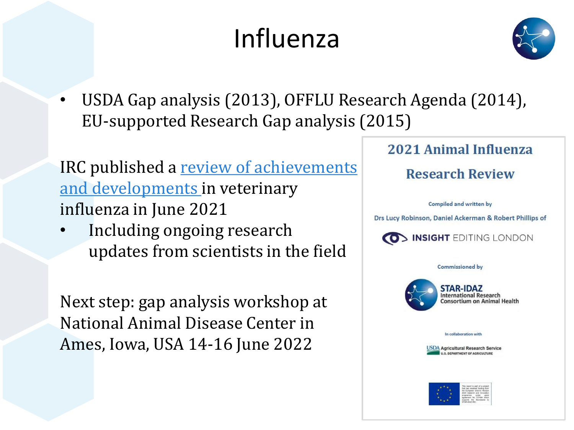# Influenza



• USDA Gap analysis (2013), OFFLU Research Agenda (2014), EU-supported Research Gap analysis (2015)

IRC published a review of achievements and developments in veterinary influenza in June 2021

• Including ongoing research updates from scientists in the field

Next step: gap analysis workshop at National Animal Disease Center in Ames, Iowa, USA 14-16 June 2022

#### 2021 Animal Influenza

**Research Review** 

**Compiled and written by** 

Drs Lucy Robinson, Daniel Ackerman & Robert Phillips of



**Commissioned by** 



**STAR-IDAZ** International Research **Consortium on Animal Health** 

#### In collaboration with



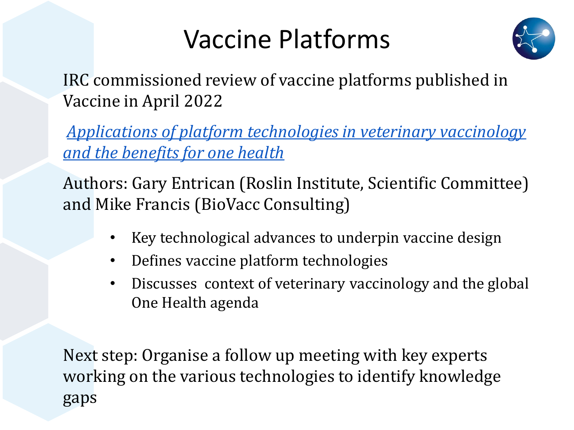## Vaccine Platforms



IRC commissioned review of vaccine platforms published in Vaccine in April 2022

*[Applications of platform technologies in veterinary vaccinology](https://doi.org/10.1016/j.vaccine.2022.03.059)  and the benefits for one health*

Authors: Gary Entrican (Roslin Institute, Scientific Committee) and Mike Francis (BioVacc Consulting)

- Key technological advances to underpin vaccine design
- Defines vaccine platform technologies
- Discusses context of veterinary vaccinology and the global One Health agenda

Next step: Organise a follow up meeting with key experts working on the various technologies to identify knowledge gaps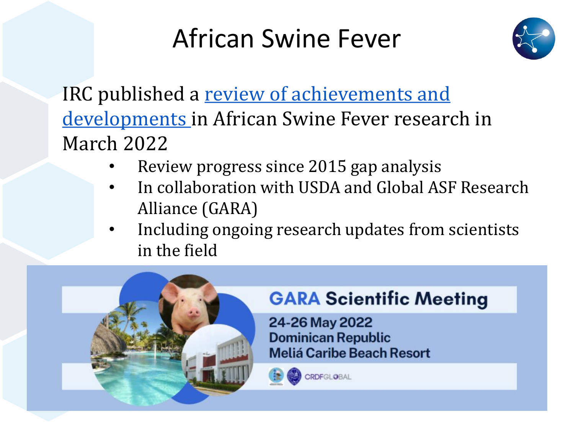## African Swine Fever



IRC published a review of achievements and [developments in African Swine Fever researc](https://www.star-idaz.net/app/uploads/2022/03/ASFV-Report_draft_final_31-march-2022.pdf)h in March 2022

- Review progress since 2015 gap analysis
- In collaboration with USDA and Global ASF Research Alliance (GARA)
- Including ongoing research updates from scientists in the field